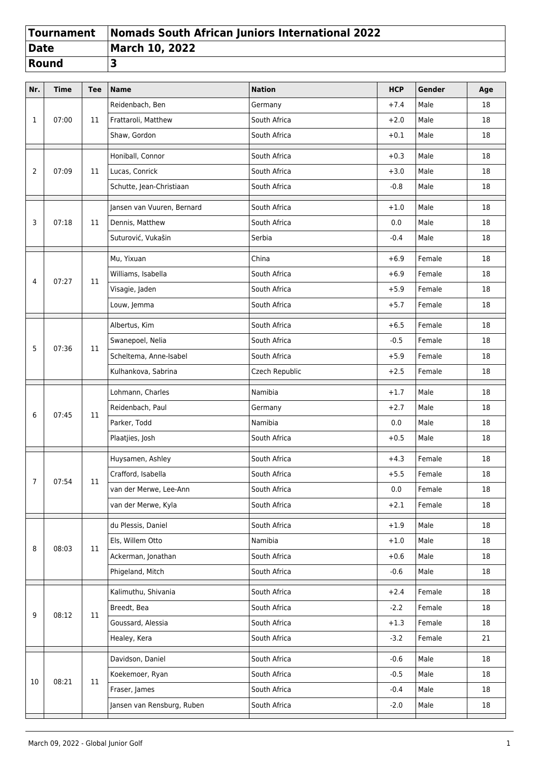|              | Tournament   Nomads South African Juniors International 2022 |
|--------------|--------------------------------------------------------------|
| Date         | March 10, 2022                                               |
| <b>Round</b> |                                                              |

| Nr. | <b>Time</b> | <b>Tee</b> | <b>Name</b>                | <b>Nation</b>  | <b>HCP</b> | Gender                                             | Age |
|-----|-------------|------------|----------------------------|----------------|------------|----------------------------------------------------|-----|
| 1   | 07:00       | 11         | Reidenbach, Ben            | Germany        | $+7.4$     | Male                                               | 18  |
|     |             |            | Frattaroli, Matthew        | South Africa   | $+2.0$     | Male                                               | 18  |
|     |             |            | Shaw, Gordon               | South Africa   | $+0.1$     | Male                                               | 18  |
|     |             |            | Honiball, Connor           | South Africa   | $+0.3$     | Male                                               | 18  |
| 2   | 07:09       | 11         | Lucas, Conrick             | South Africa   | $+3.0$     | Male                                               | 18  |
|     |             |            | Schutte, Jean-Christiaan   | South Africa   | $-0.8$     | Male                                               | 18  |
|     | 07:18       |            | Jansen van Vuuren, Bernard | South Africa   | $+1.0$     | Male                                               | 18  |
| 3   |             | 11         | Dennis, Matthew            | South Africa   | 0.0        | Male                                               | 18  |
|     |             |            | Suturović, Vukašin         | Serbia         | $-0.4$     | Male                                               | 18  |
|     |             |            | Mu, Yixuan                 | China          | $+6.9$     | Female                                             | 18  |
| 4   | 07:27       | 11         | Williams, Isabella         | South Africa   | $+6.9$     | Female                                             | 18  |
|     |             |            | Visagie, Jaden             | South Africa   | $+5.9$     | Female                                             | 18  |
|     |             |            | Louw, Jemma                | South Africa   | $+5.7$     | Female                                             | 18  |
|     |             |            | Albertus, Kim              | South Africa   | $+6.5$     | Female                                             | 18  |
| 5   | 07:36       | 11         | Swanepoel, Nelia           | South Africa   | $-0.5$     | Female<br>Female<br>Female<br>Male<br>Male<br>Male | 18  |
|     |             |            | Scheltema, Anne-Isabel     | South Africa   | $+5.9$     |                                                    | 18  |
|     |             |            | Kulhankova, Sabrina        | Czech Republic | $+2.5$     |                                                    | 18  |
|     | 07:45       | 11         | Lohmann, Charles           | Namibia        | $+1.7$     |                                                    | 18  |
| 6   |             |            | Reidenbach, Paul           | Germany        | $+2.7$     |                                                    | 18  |
|     |             |            | Parker, Todd               | Namibia        | 0.0        |                                                    | 18  |
|     |             |            | Plaatjies, Josh            | South Africa   | $+0.5$     | Male                                               | 18  |
|     | 07:54       | 11         | Huysamen, Ashley           | South Africa   | $+4.3$     | Female                                             | 18  |
| 7   |             |            | Crafford, Isabella         | South Africa   | $+5.5$     | Female                                             | 18  |
|     |             |            | van der Merwe, Lee-Ann     | South Africa   | $0.0\,$    | Female                                             | 18  |
|     |             |            | van der Merwe, Kyla        | South Africa   | $+2.1$     | Female                                             | 18  |
|     |             |            | du Plessis, Daniel         | South Africa   | $+1.9$     | Male                                               | 18  |
| 8   | 08:03       | 11         | Els, Willem Otto           | Namibia        | $+1.0$     | Male                                               | 18  |
|     |             |            | Ackerman, Jonathan         | South Africa   | $+0.6$     | Male                                               | 18  |
|     |             |            | Phigeland, Mitch           | South Africa   | $-0.6$     | Male                                               | 18  |
|     |             | 11         | Kalimuthu, Shivania        | South Africa   | $+2.4$     | Female                                             | 18  |
| 9   | 08:12       |            | Breedt, Bea                | South Africa   | $-2.2$     | Female                                             | 18  |
|     |             |            | Goussard, Alessia          | South Africa   | $+1.3$     | Female                                             | 18  |
|     |             |            | Healey, Kera               | South Africa   | $-3.2$     | Female                                             | 21  |
|     |             | 11         | Davidson, Daniel           | South Africa   | $-0.6$     | Male                                               | 18  |
| 10  | 08:21       |            | Koekemoer, Ryan            | South Africa   | $-0.5$     | Male                                               | 18  |
|     |             |            | Fraser, James              | South Africa   | $-0.4$     | Male                                               | 18  |
|     |             |            | Jansen van Rensburg, Ruben | South Africa   | $-2.0$     | Male                                               | 18  |
|     |             |            |                            |                |            |                                                    |     |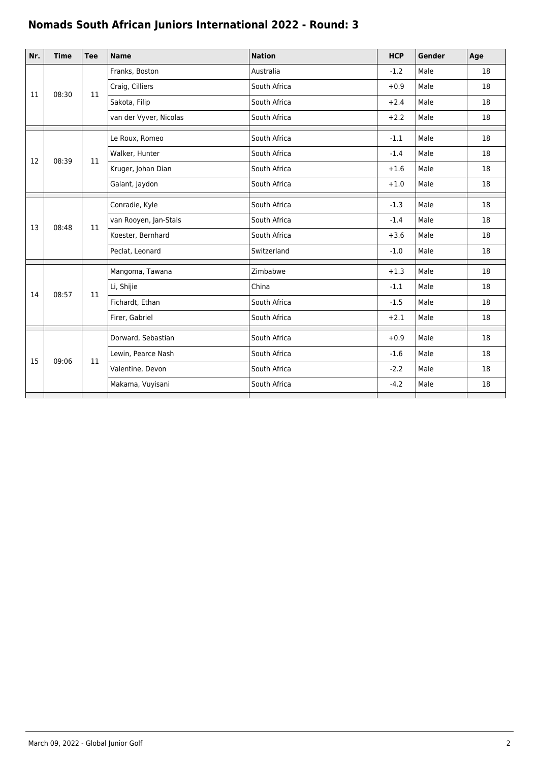## **Nomads South African Juniors International 2022 - Round: 3**

| Nr. | <b>Time</b> | <b>Tee</b> | <b>Name</b>            | <b>Nation</b> | <b>HCP</b> | Gender | Age                              |
|-----|-------------|------------|------------------------|---------------|------------|--------|----------------------------------|
| 11  | 08:30       | 11         | Franks, Boston         | Australia     | $-1.2$     | Male   | 18                               |
|     |             |            | Craig, Cilliers        | South Africa  | $+0.9$     | Male   | 18                               |
|     |             |            | Sakota, Filip          | South Africa  | $+2.4$     | Male   | 18                               |
|     |             |            | van der Vyver, Nicolas | South Africa  | $+2.2$     | Male   | 18                               |
|     | 08:39       | 11         | Le Roux, Romeo         | South Africa  | $-1.1$     | Male   | 18                               |
|     |             |            | Walker, Hunter         | South Africa  | $-1.4$     | Male   | 18                               |
| 12  |             |            | Kruger, Johan Dian     | South Africa  | $+1.6$     | Male   | 18                               |
|     |             |            | Galant, Jaydon         | South Africa  | $+1.0$     | Male   | 18                               |
|     | 08:48       | 11         | Conradie, Kyle         | South Africa  | $-1.3$     | Male   | 18                               |
| 13  |             |            | van Rooyen, Jan-Stals  | South Africa  | $-1.4$     | Male   | 18                               |
|     |             |            | Koester, Bernhard      | South Africa  | $+3.6$     | Male   | 18                               |
|     |             |            | Peclat, Leonard        | Switzerland   | $-1.0$     | Male   | 18                               |
|     |             |            | Mangoma, Tawana        | Zimbabwe      | $+1.3$     | Male   | 18                               |
| 14  | 08:57       | 11         | Li, Shijie             | China         | $-1.1$     | Male   | 18                               |
|     |             |            | Fichardt, Ethan        | South Africa  | $-1.5$     | Male   | 18<br>18<br>18<br>18<br>18<br>18 |
|     |             |            | Firer, Gabriel         | South Africa  | $+2.1$     | Male   |                                  |
| 15  | 09:06       | 11         | Dorward, Sebastian     | South Africa  | $+0.9$     | Male   |                                  |
|     |             |            | Lewin, Pearce Nash     | South Africa  | $-1.6$     | Male   |                                  |
|     |             |            | Valentine, Devon       | South Africa  | $-2.2$     | Male   |                                  |
|     |             |            | Makama, Vuyisani       | South Africa  | $-4.2$     | Male   |                                  |
|     |             |            |                        |               |            |        |                                  |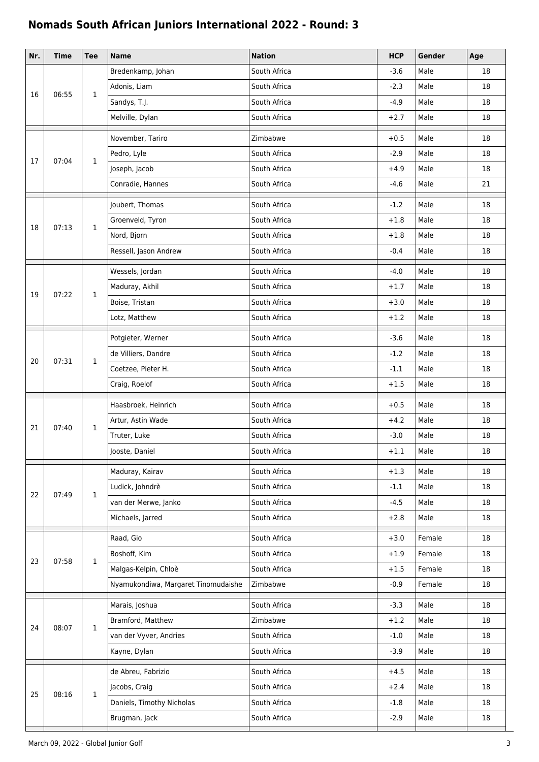## **Nomads South African Juniors International 2022 - Round: 3**

| Nr. | <b>Time</b> | <b>Tee</b>   | <b>Name</b>                         | <b>Nation</b> | <b>HCP</b> | Gender | Age    |
|-----|-------------|--------------|-------------------------------------|---------------|------------|--------|--------|
| 16  |             |              | Bredenkamp, Johan                   | South Africa  | $-3.6$     | Male   | 18     |
|     | 06:55       | $\mathbf{1}$ | Adonis, Liam                        | South Africa  | $-2.3$     | Male   | 18     |
|     |             |              | Sandys, T.J.                        | South Africa  | $-4.9$     | Male   | 18     |
|     |             |              | Melville, Dylan                     | South Africa  | $+2.7$     | Male   | 18     |
|     |             |              | November, Tariro                    | Zimbabwe      | $+0.5$     | Male   | 18     |
| 17  | 07:04       | $\mathbf{1}$ | Pedro, Lyle                         | South Africa  | $-2.9$     | Male   | 18     |
|     |             |              | Joseph, Jacob                       | South Africa  | $+4.9$     | Male   | 18     |
|     |             |              | Conradie, Hannes                    | South Africa  | $-4.6$     | Male   | 21     |
|     | 07:13       | $\mathbf{1}$ | Joubert, Thomas                     | South Africa  | $-1.2$     | Male   | 18     |
| 18  |             |              | Groenveld, Tyron                    | South Africa  | $+1.8$     | Male   | 18     |
|     |             |              | Nord, Bjorn                         | South Africa  | $+1.8$     | Male   | 18     |
|     |             |              | Ressell, Jason Andrew               | South Africa  | $-0.4$     | Male   | 18     |
|     |             |              | Wessels, Jordan                     | South Africa  | $-4.0$     | Male   | 18     |
| 19  | 07:22       | $\mathbf{1}$ | Maduray, Akhil                      | South Africa  | $+1.7$     | Male   | 18     |
|     |             |              | Boise, Tristan                      | South Africa  | $+3.0$     | Male   | 18     |
|     |             |              | Lotz, Matthew                       | South Africa  | $+1.2$     | Male   | 18     |
|     |             |              | Potgieter, Werner                   | South Africa  | $-3.6$     | Male   | 18     |
| 20  |             | 1            | de Villiers, Dandre                 | South Africa  | $-1.2$     | Male   | 18     |
|     | 07:31       |              | Coetzee, Pieter H.                  | South Africa  | $-1.1$     | Male   | 18     |
|     |             |              | Craig, Roelof                       | South Africa  | $+1.5$     | Male   | 18     |
|     | 07:40       | $\mathbf{1}$ | Haasbroek, Heinrich                 | South Africa  | $+0.5$     | Male   | 18     |
| 21  |             |              | Artur, Astin Wade                   | South Africa  | $+4.2$     | Male   | 18     |
|     |             |              | Truter, Luke                        | South Africa  | $-3.0$     | Male   | 18     |
|     |             |              | Jooste, Daniel                      | South Africa  | $+1.1$     | Male   | 18     |
|     |             | $\mathbf{1}$ | Maduray, Kairav                     | South Africa  | $+1.3$     | Male   | 18     |
| 22  | 07:49       |              | Ludick, Johndrè                     | South Africa  | $-1.1$     | Male   | 18     |
|     |             |              | van der Merwe, Janko                | South Africa  | $-4.5$     | Male   | 18     |
|     |             |              | Michaels, Jarred                    | South Africa  | $+2.8$     | Male   | 18     |
|     |             |              | Raad, Gio                           | South Africa  | $+3.0$     | Female | 18     |
| 23  |             | $\mathbf{1}$ | Boshoff, Kim                        | South Africa  | $+1.9$     | Female | 18     |
|     | 07:58       |              | Malgas-Kelpin, Chloè                | South Africa  | $+1.5$     | Female | 18     |
|     |             |              | Nyamukondiwa, Margaret Tinomudaishe | Zimbabwe      | $-0.9$     | Female | 18     |
|     | 08:07       | $\mathbf{1}$ | Marais, Joshua                      | South Africa  | $-3.3$     | Male   | 18     |
| 24  |             |              | Bramford, Matthew                   | Zimbabwe      | $+1.2$     | Male   | 18     |
|     |             |              | van der Vyver, Andries              | South Africa  | $-1.0$     | Male   | 18     |
|     |             |              | Kayne, Dylan                        | South Africa  | $-3.9$     | Male   | 18     |
|     |             |              | de Abreu, Fabrizio                  | South Africa  | $+4.5$     | Male   | 18     |
| 25  |             | 1            | Jacobs, Craig                       | South Africa  | $+2.4$     | Male   | 18     |
|     | 08:16       |              | Daniels, Timothy Nicholas           | South Africa  | $-1.8$     | Male   | 18     |
|     |             |              | Brugman, Jack                       | South Africa  | $-2.9$     | Male   | $18\,$ |